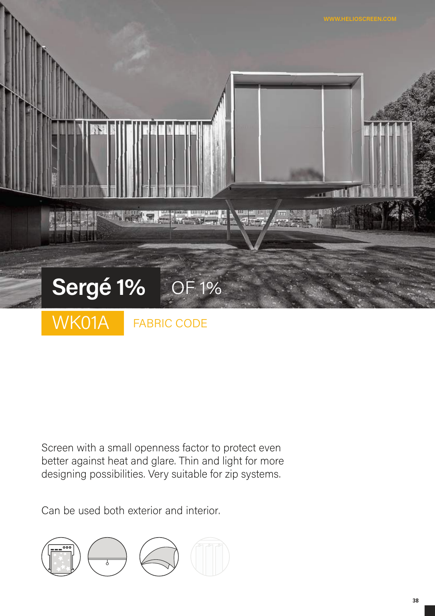

Screen with a small openness factor to protect even better against heat and glare. Thin and light for more designing possibilities. Very suitable for zip systems.

Can be used both exterior and interior.

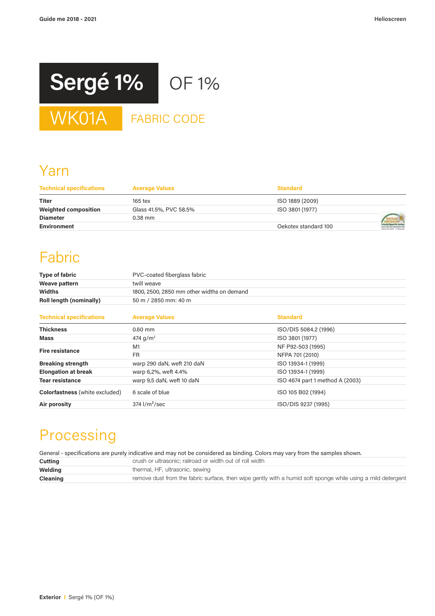

## Yarn

| <b>Technical specifications</b> | <b>Average Values</b>  | <b>Standard</b>      |  |
|---------------------------------|------------------------|----------------------|--|
| <b>Titer</b>                    | $165$ tex              | ISO 1889 (2009)      |  |
| <b>Weighted composition</b>     | Glass 41.5%, PVC 58.5% | ISO 3801 (1977)      |  |
| <b>Diameter</b>                 | $0.38$ mm              |                      |  |
| Environment                     |                        | Oekotex standard 100 |  |

# Fabric

| <b>Type of fabric</b>   | PVC-coated fiberglass fabric               |
|-------------------------|--------------------------------------------|
| Weave pattern           | twill weave                                |
| <b>Widths</b>           | 1800, 2500, 2850 mm other widths on demand |
| Roll length (nominally) | 50 m / 2850 mm: 40 m                       |
|                         |                                            |

| <b>Technical specifications</b>       | <b>Average Values</b>      | <b>Standard</b>                 |
|---------------------------------------|----------------------------|---------------------------------|
| <b>Thickness</b>                      | $0.60$ mm                  | ISO/DIS 5084.2 (1996)           |
| <b>Mass</b>                           | 474 g/m <sup>2</sup>       | ISO 3801 (1977)                 |
| <b>Fire resistance</b>                | M1                         | NF P92-503 (1995)               |
|                                       | <b>FR</b>                  | NFPA 701 (2010)                 |
| <b>Breaking strength</b>              | warp 290 daN, weft 210 daN | ISO 13934-1 (1999)              |
| <b>Elongation at break</b>            | warp 6,2%, weft 4.4%       | ISO 13934-1 (1999)              |
| <b>Tear resistance</b>                | warp 9,5 daN, weft 10 daN  | ISO 4674 part 1 method A (2003) |
| <b>Colorfastness</b> (white excluded) | 6 scale of blue            | ISO 105 B02 (1994)              |
| Air porosity                          | $374$ $1/m2/sec$           | ISO/DIS 9237 (1995)             |

# Processing

General - specifications are purely indicative and may not be considered as binding. Colors may vary from the samples shown.

| Cutting         | crush or ultrasonic; railroad or width out of roll width                                                    |
|-----------------|-------------------------------------------------------------------------------------------------------------|
| Welding         | thermal, HF, ultrasonic, sewing                                                                             |
| <b>Cleaning</b> | remove dust from the fabric surface, then wipe gently with a humid soft sponge while using a mild detergent |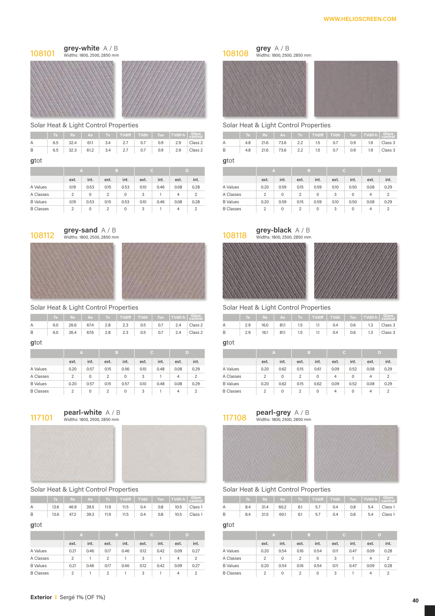



|                                             |  |  |  |  | $\begin{array}{ c c c c c c }\hline \end{array}$ Fig. $\begin{array}{ c c c c c }\hline \end{array}$ For $\begin{array}{ c c c c }\hline \end{array}$ For $\begin{array}{ c c c c }\hline \end{array}$ For $\begin{array}{ c c c }\hline \end{array}$ For $\begin{array}{ c c c }\hline \end{array}$ For $\begin{array}{ c c c }\hline \end{array}$ For $\begin{array}{ c c c }\hline \$ |
|---------------------------------------------|--|--|--|--|------------------------------------------------------------------------------------------------------------------------------------------------------------------------------------------------------------------------------------------------------------------------------------------------------------------------------------------------------------------------------------------|
| A                                           |  |  |  |  | $6.5$ 32.4 61.1 3.4 2.7 0.7 0.9 2.9 Class 2                                                                                                                                                                                                                                                                                                                                              |
| B 6.5 32.3 61.2 3.4 2.7 0.7 0.9 2.9 Class 2 |  |  |  |  |                                                                                                                                                                                                                                                                                                                                                                                          |

**g**tot **g**tot

|                  |      |      |      |      |      |      |      |      |                  |      |      |      | . .<br>8 S 1 |      |      |      |      |
|------------------|------|------|------|------|------|------|------|------|------------------|------|------|------|--------------|------|------|------|------|
|                  | ext. | int. | ext. | int. | ext. | int. | ext. | int. |                  | ext. | int. | ext. | int.         | ext. | int. | ext. | int. |
| A Values         | 0.19 | 0.53 | 0.15 | 0.53 | 0.10 | 0.46 | 0.08 | 0.28 | A Values         | 0.20 | 0.59 | 0.15 | 0.59         | 0.10 | 0.50 | 0.08 | 0.29 |
| A Classes        |      |      | ↷    |      |      |      | 4    |      | A Classes        |      |      |      |              |      |      |      |      |
| <b>B</b> Values  | 0.19 | 0.53 | 0.15 | 0.53 | 0.10 | 0.46 | 0.08 | 0.28 | <b>B</b> Values  | 0.20 | 0.59 | 0.15 | 0.59         | 0.10 | 0.50 | 0.08 | 0.29 |
| <b>B</b> Classes |      |      | -    |      |      |      | 4    |      | <b>B</b> Classes | c    |      |      |              |      |      |      |      |





Solar Heat & Light Control Properties Solar Heat & Light Control Properties

|  |  |  |  | Ts Rs As Tv TV diff TVdir Tuv TVdif-h Glare                                             |  |  |  | <b>Example 19 Transide Server 15 Server 15 Server 15 Server 15 Server 15 Server 15 Server 15 Server 15 Server 15</b> |  |  |
|--|--|--|--|-----------------------------------------------------------------------------------------|--|--|--|----------------------------------------------------------------------------------------------------------------------|--|--|
|  |  |  |  | 6.0 26.6 67.4 2.8 2.3 0.5 0.7 2.4 Class 2 A 2.9 16.0 81.1 1.5 1.1 0.4 0.6 1.3 Class 3   |  |  |  |                                                                                                                      |  |  |
|  |  |  |  | B 6.0 26.4 67.6 2.8 2.3 0.5 0.7 2.4 Class 2 B 2.9 16.1 81.1 1.5 1.1 0.4 0.6 1.3 Class 3 |  |  |  |                                                                                                                      |  |  |

**g**tot **g**tot

# A Classes 2 0 2 0 3 1 4 2 A Classes 2 0 2 0 4 0 4 2 B Classes 2 0 2 0 3 1 4 2 B Classes 2 0 2 0 4 0 4 2



Widths: 1800, 2500, 2850 mm Widths: 1800, 2500, 2850 mm



|      |      |      |      |      |      |                                                                       |            |         | Ts Rs As Tv TVdiff TVdir Tuv TVdir Tuv TVdif-h G <mark>olare</mark> Control Ts Rs As Tv TVdiff TVdir Tuv TVdif-h Glare |     |      |  |                |     |                                                                                     |  |
|------|------|------|------|------|------|-----------------------------------------------------------------------|------------|---------|------------------------------------------------------------------------------------------------------------------------|-----|------|--|----------------|-----|-------------------------------------------------------------------------------------|--|
| A    | 13.6 | 46.9 | 39.5 | 11.9 | 11.5 | $\begin{array}{ccc} \end{array}$ 0.4 $\begin{array}{ccc} \end{array}$ | $0.8$ 10.5 | Class 1 | A                                                                                                                      | 8.4 | 31.4 |  | $60.2$ 6.1 5.7 | 0.4 | $\begin{array}{ c c c c c } \hline 0.8 & 5.4 & \text{Class 1} \ \hline \end{array}$ |  |
|      | 13.6 |      |      |      |      |                                                                       |            |         |                                                                                                                        |     |      |  |                |     | 0.8 5.4 Class 1                                                                     |  |
| gtot |      |      |      |      |      |                                                                       |            |         | atot                                                                                                                   |     |      |  |                |     |                                                                                     |  |

|                  |      |      |        |      |      |      |      |      |                  |        |      |      | B    |      |      |      |      |
|------------------|------|------|--------|------|------|------|------|------|------------------|--------|------|------|------|------|------|------|------|
|                  | ext. | int. | ext.   | int. | ext. | int. | ext. | int. |                  | ext.   | int. | ext. | int. | ext. | int. | ext. | int. |
| A Values         | 0.21 | 0.46 | 0.17   | 0.46 | 0.12 | 0.42 | 0.09 | 0.27 | A Values         | 0.20   | 0.54 | 0.16 | 0.54 | 0.11 | 0.47 | 0.09 | 0.28 |
| A Classes        | ົ    |      | $\sim$ |      |      |      | 4    |      | A Classes        | ↷      |      |      | 0    |      |      | Δ    |      |
| <b>B</b> Values  | 0.21 | 0.46 | 0.17   | 0.46 | 0.12 | 0.42 | 0.09 | 0.27 | <b>B</b> Values  | 0.20   | 0.54 | 0.16 | 0.54 | 0.11 | 0.47 | 0.09 | 0.28 |
| <b>B</b> Classes |      |      | $\sim$ |      |      |      | 4    |      | <b>B</b> Classes | $\sim$ |      |      | 0    |      |      | 4    |      |

Widths: 1800, 2500, 2850 mm Widths: 1800, 2500, 2850 mm



## Solar Heat & Light Control Properties Solar Heat & Light Control Properties

|  |  |  |  | Ts Rs As Tv TVdiff TVdir Tuv TVdif-h Glare |                                                                                       |  |  |  |                                           | Ts Rs As Tv TVdiff TVdir Tuv TVdif-h Glare |
|--|--|--|--|--------------------------------------------|---------------------------------------------------------------------------------------|--|--|--|-------------------------------------------|--------------------------------------------|
|  |  |  |  | 6.5 32.4 61.1 3.4 2.7 0.7 0.9 2.9 Class 2  |                                                                                       |  |  |  | 4.8 21.6 73.6 2.2 1.5 0.7 0.9 1.9 Class 3 |                                            |
|  |  |  |  |                                            | 6.5 32.3 61.2 3.4 2.7 0.7 0.9 2.9 Class 2 B 4.8 21.6 73.6 2.2 1.5 0.7 0.9 1.9 Class 3 |  |  |  |                                           |                                            |

| - A  |      | Æ,   |      |      |      | D)   |      |                  | A    |      |      | B    |      |      |  |
|------|------|------|------|------|------|------|------|------------------|------|------|------|------|------|------|--|
|      | int. | ext. | int. | ext. | int. | ext. | int. |                  | ext. | int. | ext. | int. | ext. | int. |  |
|      | 0.53 | 0.15 | 0.53 | 0.10 | 0.46 | 0.08 | 0.28 | A Values         | 0.20 | 0.59 | 0.15 | 0.59 | 0.10 | 0.50 |  |
|      | 0    | 2    | 0    | 3    |      | 4    |      | A Classes        | 2    | 0    | 2    | 0    | 3    |      |  |
| 0.19 | 0.53 | 0.15 | 0.53 | 0.10 | 0.46 | 0.08 | 0.28 | <b>B</b> Values  | 0.20 | 0.59 | 0.15 | 0.59 | 0.10 | 0.50 |  |
| 2    | 0    | っ    | 0    | 3    |      | 4    |      | <b>B</b> Classes | 2    | 0    | 2    | 0    | 3    |      |  |





| <b>STATISTICS</b> |
|-------------------|
|                   |
|                   |
|                   |
|                   |
|                   |
| <b>MARINA</b>     |

**Ts Rs As Tv TVdi# TVdir Tuv TVdif-h Glare control Ts Rs As Tv TVdi# TVdir Tuv TVdif-h Glare control**

|                  | $\sim$ |      |      |          |      |      |      |      |                  | . .  |      |      |          |      |      |      |      |
|------------------|--------|------|------|----------|------|------|------|------|------------------|------|------|------|----------|------|------|------|------|
|                  | ext.   | int. | ext. | int.     | ext. | int. | ext. | int. |                  | ext. | int. | ext. | int.     | ext. | int. | ext. | int. |
| A Values         | 0.20   | 0.57 | 0.15 | 0.56     | 0.10 | 0.48 | 0.08 | 0.29 | A Values         | 0.20 | 0.62 | 0.15 | 0.61     | 0.09 | 0.52 | 0.08 | 0.29 |
| A Classes        | ∼      |      |      | $\Omega$ |      |      |      |      | A Classes        |      |      |      | $\Omega$ | 4    |      | 4    |      |
| <b>B</b> Values  | 0.20   | 0.57 | 0.15 | 0.57     | 0.10 | 0.48 | 0.08 | 0.29 | <b>B</b> Values  | 0.20 | 0.62 | 0.15 | 0.62     | 0.09 | 0.52 | 0.08 | 0.29 |
| <b>B</b> Classes | ∼      |      |      | 0        |      |      |      |      | <b>B</b> Classes |      |      |      | 0        | 4    |      | 4    |      |
|                  |        |      |      |          |      |      |      |      |                  |      |      |      |          |      |      |      |      |

## **117101 pearl-white**  $A / B$  **pearl-grey**  $A / B$  **pearl-grey**  $A / B$  **pearl-grey**  $A / B$  **117108 widths: 1800, 2500, 2850 mm**





## Solar Heat & Light Control Properties Solar Heat & Light Control Properties

|     |               |      |      |      |     |     | Ts $\begin{array}{ c c c c c c }\hline \end{array}$ As $\begin{array}{ c c c c c }\hline \end{array}$ TV $\begin{array}{ c c c c }\hline \end{array}$ TV $\begin{array}{ c c c }\hline \end{array}$ TV $\begin{array}{ c c c }\hline \end{array}$ TV $\begin{array}{ c c c }\hline \end{array}$ TV $\begin{array}{ c c c }\hline \end{array}$ TV $\begin{array}{ c c c }\hline \end{array}$ T |         |                                                |       |     |      |      |     | Ts   Rs   As   Tv   TVdiff   TVdir   Tuv   TVdif-h   Glare |     |                                        |                 |  |
|-----|---------------|------|------|------|-----|-----|-----------------------------------------------------------------------------------------------------------------------------------------------------------------------------------------------------------------------------------------------------------------------------------------------------------------------------------------------------------------------------------------------|---------|------------------------------------------------|-------|-----|------|------|-----|------------------------------------------------------------|-----|----------------------------------------|-----------------|--|
| 3.6 | 46.9          | 39.5 | 11.9 | 11.5 | 0.4 | 0.8 | 10.5                                                                                                                                                                                                                                                                                                                                                                                          | Class 1 |                                                |       | 8.4 | 31.4 | 60.2 | 6.1 | 5.7                                                        | 0.4 | $\begin{array}{ccc} & 0.8 \end{array}$ | $5.4$ Class 1   |  |
|     | 3.6 47.2 39.3 |      |      |      |     |     | 11.9 11.5 0.4 0.8 10.5 Class 1                                                                                                                                                                                                                                                                                                                                                                |         | $\mathbf{B}$ and $\mathbf{B}$ and $\mathbf{B}$ |       | 8.4 | 31.5 |      |     | $60.1$ 6.1 5.7 0.4                                         |     |                                        | 0.8 5.4 Class 1 |  |
|     |               |      |      |      |     |     |                                                                                                                                                                                                                                                                                                                                                                                               |         |                                                | $-++$ |     |      |      |     |                                                            |     |                                        |                 |  |

| $\overline{A}$ |      |               | B    |      |      |      |      |                  | TA.  |      |      | B.   |      |      |      |      |
|----------------|------|---------------|------|------|------|------|------|------------------|------|------|------|------|------|------|------|------|
| ext.           | int. | ext.          | int. | ext. | int. | ext. | int. |                  | ext. | int. | ext. | int. | ext. | int. | ext. | int. |
| 0.21           | 0.46 | 0.17          | 0.46 | 0.12 | 0.42 | 0.09 | 0.27 | A Values         | 0.20 | 0.54 | 0.16 | 0.54 | 0.11 | 0.47 | 0.09 | 0.28 |
| 2              |      | C             |      | 3    |      | 4    | ◠    | A Classes        |      |      | ◠    | 0    | 3    |      | 4    |      |
| 0.21           | 0.46 | 0.17          | 0.46 | 0.12 | 0.42 | 0.09 | 0.27 | <b>B</b> Values  | 0.20 | 0.54 | 0.16 | 0.54 | 0.11 | 0.47 | 0.09 | 0.28 |
| 2              |      | $\mathcal{L}$ |      | 3    |      | 4    |      | <b>B</b> Classes | ∠    |      | ◠    | 0    | 3    |      | 4    |      |